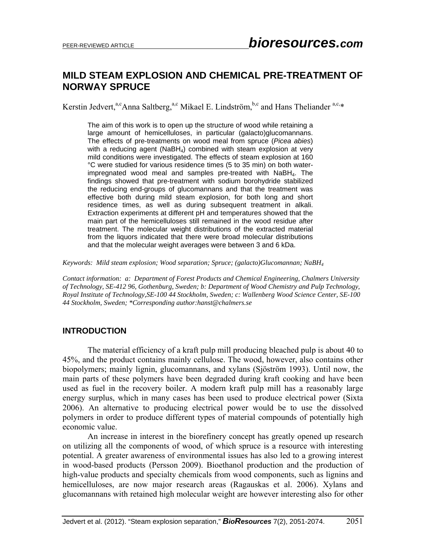# **MILD STEAM EXPLOSION AND CHEMICAL PRE-TREATMENT OF NORWAY SPRUCE**

Kerstin Jedvert,<sup>a,c</sup>Anna Saltberg,<sup>a,c</sup> Mikael E. Lindström,<sup>b,c</sup> and Hans Theliander<sup>a,c,\*</sup>

The aim of this work is to open up the structure of wood while retaining a large amount of hemicelluloses, in particular (galacto)glucomannans. The effects of pre-treatments on wood meal from spruce (*Picea abies*) with a reducing agent ( $N$ aBH<sub>4</sub>) combined with steam explosion at very mild conditions were investigated. The effects of steam explosion at 160 °C were studied for various residence times (5 to 35 min) on both waterimpregnated wood meal and samples pre-treated with  $N$ aBH<sub>4</sub>. The findings showed that pre-treatment with sodium borohydride stabilized the reducing end-groups of glucomannans and that the treatment was effective both during mild steam explosion, for both long and short residence times, as well as during subsequent treatment in alkali. Extraction experiments at different pH and temperatures showed that the main part of the hemicelluloses still remained in the wood residue after treatment. The molecular weight distributions of the extracted material from the liquors indicated that there were broad molecular distributions and that the molecular weight averages were between 3 and 6 kDa.

*Keywords: Mild steam explosion; Wood separation; Spruce; (galacto)Glucomannan; NaBH4*

*Contact information: a: Department of Forest Products and Chemical Engineering, Chalmers University of Technology, SE-412 96, Gothenburg, Sweden; b: Department of Wood Chemistry and Pulp Technology, Royal Institute of Technology,SE-100 44 Stockholm, Sweden; c: Wallenberg Wood Science Center, SE-100 44 Stockholm, Sweden; \*Corresponding author:hanst@chalmers.se* 

## **INTRODUCTION**

 The material efficiency of a kraft pulp mill producing bleached pulp is about 40 to 45%, and the product contains mainly cellulose. The wood, however, also contains other biopolymers; mainly lignin, glucomannans, and xylans (Sjöström 1993). Until now, the main parts of these polymers have been degraded during kraft cooking and have been used as fuel in the recovery boiler. A modern kraft pulp mill has a reasonably large energy surplus, which in many cases has been used to produce electrical power (Sixta 2006). An alternative to producing electrical power would be to use the dissolved polymers in order to produce different types of material compounds of potentially high economic value.

An increase in interest in the biorefinery concept has greatly opened up research on utilizing all the components of wood, of which spruce is a resource with interesting potential. A greater awareness of environmental issues has also led to a growing interest in wood-based products (Persson 2009). Bioethanol production and the production of high-value products and specialty chemicals from wood components, such as lignins and hemicelluloses, are now major research areas (Ragauskas et al. 2006). Xylans and glucomannans with retained high molecular weight are however interesting also for other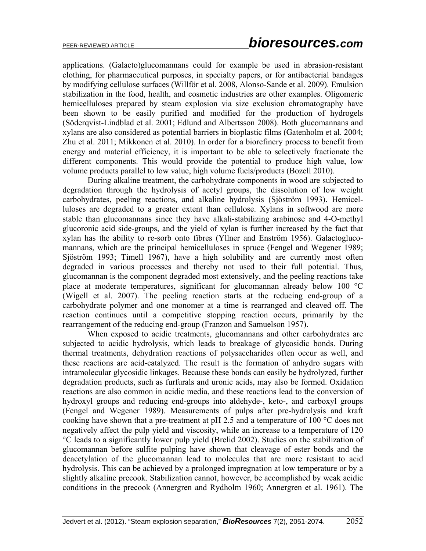applications. (Galacto)glucomannans could for example be used in abrasion-resistant clothing, for pharmaceutical purposes, in specialty papers, or for antibacterial bandages by modifying cellulose surfaces (Willför et al. 2008, Alonso-Sande et al. 2009). Emulsion stabilization in the food, health, and cosmetic industries are other examples. Oligomeric hemicelluloses prepared by steam explosion via size exclusion chromatography have been shown to be easily purified and modified for the production of hydrogels (Söderqvist-Lindblad et al. 2001; Edlund and Albertsson 2008). Both glucomannans and xylans are also considered as potential barriers in bioplastic films (Gatenholm et al. 2004; Zhu et al. 2011; Mikkonen et al. 2010). In order for a biorefinery process to benefit from energy and material efficiency, it is important to be able to selectively fractionate the different components. This would provide the potential to produce high value, low volume products parallel to low value, high volume fuels/products (Bozell 2010).

During alkaline treatment, the carbohydrate components in wood are subjected to degradation through the hydrolysis of acetyl groups, the dissolution of low weight carbohydrates, peeling reactions, and alkaline hydrolysis (Sjöström 1993). Hemicelluloses are degraded to a greater extent than cellulose. Xylans in softwood are more stable than glucomannans since they have alkali-stabilizing arabinose and 4-O-methyl glucoronic acid side-groups, and the yield of xylan is further increased by the fact that xylan has the ability to re-sorb onto fibres (Yllner and Enström 1956). Galactoglucomannans, which are the principal hemicelluloses in spruce (Fengel and Wegener 1989; Sjöström 1993; Timell 1967), have a high solubility and are currently most often degraded in various processes and thereby not used to their full potential. Thus, glucomannan is the component degraded most extensively, and the peeling reactions take place at moderate temperatures, significant for glucomannan already below 100 °C (Wigell et al. 2007). The peeling reaction starts at the reducing end-group of a carbohydrate polymer and one monomer at a time is rearranged and cleaved off. The reaction continues until a competitive stopping reaction occurs, primarily by the rearrangement of the reducing end-group (Franzon and Samuelson 1957).

When exposed to acidic treatments, glucomannans and other carbohydrates are subjected to acidic hydrolysis, which leads to breakage of glycosidic bonds. During thermal treatments, dehydration reactions of polysaccharides often occur as well, and these reactions are acid-catalyzed. The result is the formation of anhydro sugars with intramolecular glycosidic linkages. Because these bonds can easily be hydrolyzed, further degradation products, such as furfurals and uronic acids, may also be formed. Oxidation reactions are also common in acidic media, and these reactions lead to the conversion of hydroxyl groups and reducing end-groups into aldehyde-, keto-, and carboxyl groups (Fengel and Wegener 1989). Measurements of pulps after pre-hydrolysis and kraft cooking have shown that a pre-treatment at pH 2.5 and a temperature of 100 °C does not negatively affect the pulp yield and viscosity, while an increase to a temperature of 120 °C leads to a significantly lower pulp yield (Brelid 2002). Studies on the stabilization of glucomannan before sulfite pulping have shown that cleavage of ester bonds and the deacetylation of the glucomannan lead to molecules that are more resistant to acid hydrolysis. This can be achieved by a prolonged impregnation at low temperature or by a slightly alkaline precook. Stabilization cannot, however, be accomplished by weak acidic conditions in the precook (Annergren and Rydholm 1960; Annergren et al. 1961). The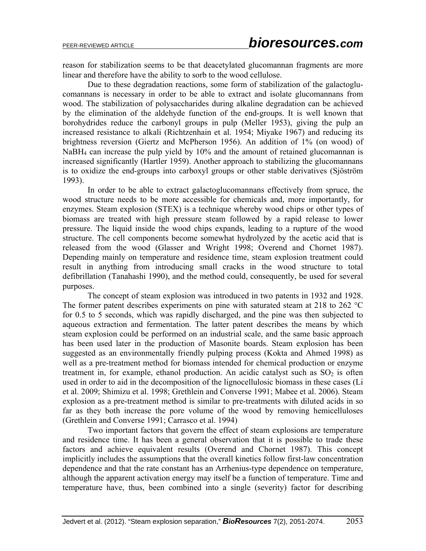reason for stabilization seems to be that deacetylated glucomannan fragments are more linear and therefore have the ability to sorb to the wood cellulose.

Due to these degradation reactions, some form of stabilization of the galactoglucomannans is necessary in order to be able to extract and isolate glucomannans from wood. The stabilization of polysaccharides during alkaline degradation can be achieved by the elimination of the aldehyde function of the end-groups. It is well known that borohydrides reduce the carbonyl groups in pulp (Meller 1953), giving the pulp an increased resistance to alkali (Richtzenhain et al. 1954; Miyake 1967) and reducing its brightness reversion (Giertz and McPherson 1956). An addition of 1% (on wood) of NaBH<sub>4</sub> can increase the pulp yield by 10% and the amount of retained glucomannan is increased significantly (Hartler 1959). Another approach to stabilizing the glucomannans is to oxidize the end-groups into carboxyl groups or other stable derivatives (Sjöström 1993).

In order to be able to extract galactoglucomannans effectively from spruce, the wood structure needs to be more accessible for chemicals and, more importantly, for enzymes. Steam explosion (STEX) is a technique whereby wood chips or other types of biomass are treated with high pressure steam followed by a rapid release to lower pressure. The liquid inside the wood chips expands, leading to a rupture of the wood structure. The cell components become somewhat hydrolyzed by the acetic acid that is released from the wood (Glasser and Wright 1998; Overend and Chornet 1987). Depending mainly on temperature and residence time, steam explosion treatment could result in anything from introducing small cracks in the wood structure to total defibrillation (Tanahashi 1990), and the method could, consequently, be used for several purposes.

The concept of steam explosion was introduced in two patents in 1932 and 1928. The former patent describes experiments on pine with saturated steam at 218 to 262 °C for 0.5 to 5 seconds, which was rapidly discharged, and the pine was then subjected to aqueous extraction and fermentation. The latter patent describes the means by which steam explosion could be performed on an industrial scale, and the same basic approach has been used later in the production of Masonite boards. Steam explosion has been suggested as an environmentally friendly pulping process (Kokta and Ahmed 1998) as well as a pre-treatment method for biomass intended for chemical production or enzyme treatment in, for example, ethanol production. An acidic catalyst such as  $SO<sub>2</sub>$  is often used in order to aid in the decomposition of the lignocellulosic biomass in these cases (Li et al. 2009; Shimizu et al. 1998; Grethlein and Converse 1991; Mabee et al. 2006). Steam explosion as a pre-treatment method is similar to pre-treatments with diluted acids in so far as they both increase the pore volume of the wood by removing hemicelluloses (Grethlein and Converse 1991; Carrasco et al. 1994)

Two important factors that govern the effect of steam explosions are temperature and residence time. It has been a general observation that it is possible to trade these factors and achieve equivalent results (Overend and Chornet 1987). This concept implicitly includes the assumptions that the overall kinetics follow first-law concentration dependence and that the rate constant has an Arrhenius-type dependence on temperature, although the apparent activation energy may itself be a function of temperature. Time and temperature have, thus, been combined into a single (severity) factor for describing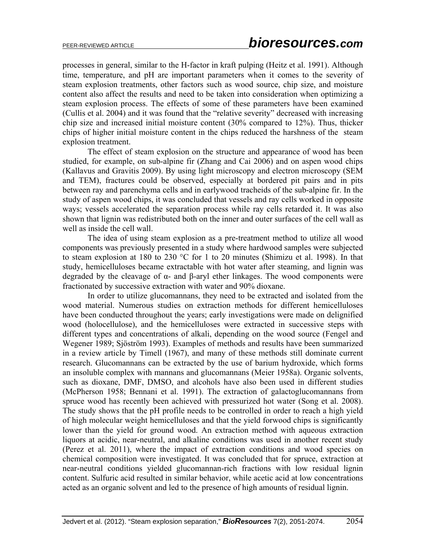processes in general, similar to the H-factor in kraft pulping (Heitz et al. 1991). Although time, temperature, and pH are important parameters when it comes to the severity of steam explosion treatments, other factors such as wood source, chip size, and moisture content also affect the results and need to be taken into consideration when optimizing a steam explosion process. The effects of some of these parameters have been examined (Cullis et al. 2004) and it was found that the "relative severity" decreased with increasing chip size and increased initial moisture content (30% compared to 12%). Thus, thicker chips of higher initial moisture content in the chips reduced the harshness of the steam explosion treatment.

The effect of steam explosion on the structure and appearance of wood has been studied, for example, on sub-alpine fir (Zhang and Cai 2006) and on aspen wood chips (Kallavus and Gravitis 2009). By using light microscopy and electron microscopy (SEM and TEM), fractures could be observed, especially at bordered pit pairs and in pits between ray and parenchyma cells and in earlywood tracheids of the sub-alpine fir. In the study of aspen wood chips, it was concluded that vessels and ray cells worked in opposite ways; vessels accelerated the separation process while ray cells retarded it. It was also shown that lignin was redistributed both on the inner and outer surfaces of the cell wall as well as inside the cell wall.

The idea of using steam explosion as a pre-treatment method to utilize all wood components was previously presented in a study where hardwood samples were subjected to steam explosion at 180 to 230 °C for 1 to 20 minutes (Shimizu et al. 1998). In that study, hemicelluloses became extractable with hot water after steaming, and lignin was degraded by the cleavage of α- and β-aryl ether linkages. The wood components were fractionated by successive extraction with water and 90% dioxane.

In order to utilize glucomannans, they need to be extracted and isolated from the wood material. Numerous studies on extraction methods for different hemicelluloses have been conducted throughout the years; early investigations were made on delignified wood (holocellulose), and the hemicelluloses were extracted in successive steps with different types and concentrations of alkali, depending on the wood source (Fengel and Wegener 1989; Sjöström 1993). Examples of methods and results have been summarized in a review article by Timell (1967), and many of these methods still dominate current research. Glucomannans can be extracted by the use of barium hydroxide, which forms an insoluble complex with mannans and glucomannans (Meier 1958a). Organic solvents, such as dioxane, DMF, DMSO, and alcohols have also been used in different studies (McPherson 1958; Bennani et al. 1991). The extraction of galactoglucomannans from spruce wood has recently been achieved with pressurized hot water (Song et al. 2008). The study shows that the pH profile needs to be controlled in order to reach a high yield of high molecular weight hemicelluloses and that the yield forwood chips is significantly lower than the yield for ground wood. An extraction method with aqueous extraction liquors at acidic, near-neutral, and alkaline conditions was used in another recent study (Perez et al. 2011), where the impact of extraction conditions and wood species on chemical composition were investigated. It was concluded that for spruce, extraction at near-neutral conditions yielded glucomannan-rich fractions with low residual lignin content. Sulfuric acid resulted in similar behavior, while acetic acid at low concentrations acted as an organic solvent and led to the presence of high amounts of residual lignin.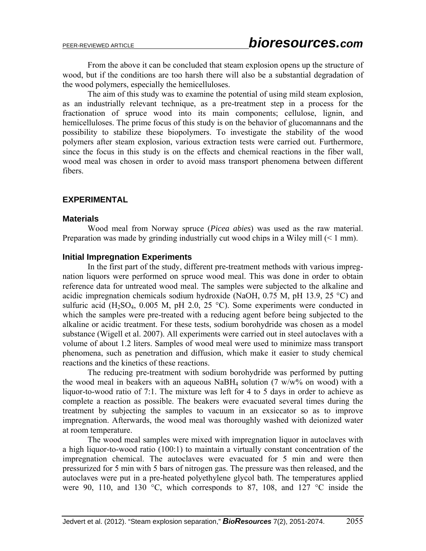From the above it can be concluded that steam explosion opens up the structure of wood, but if the conditions are too harsh there will also be a substantial degradation of the wood polymers, especially the hemicelluloses.

The aim of this study was to examine the potential of using mild steam explosion, as an industrially relevant technique, as a pre-treatment step in a process for the fractionation of spruce wood into its main components; cellulose, lignin, and hemicelluloses. The prime focus of this study is on the behavior of glucomannans and the possibility to stabilize these biopolymers. To investigate the stability of the wood polymers after steam explosion, various extraction tests were carried out. Furthermore, since the focus in this study is on the effects and chemical reactions in the fiber wall, wood meal was chosen in order to avoid mass transport phenomena between different fibers.

## **EXPERIMENTAL**

#### **Materials**

 Wood meal from Norway spruce (*Picea abies*) was used as the raw material. Preparation was made by grinding industrially cut wood chips in a Wiley mill  $(< 1$  mm).

## **Initial Impregnation Experiments**

 In the first part of the study, different pre-treatment methods with various impregnation liquors were performed on spruce wood meal. This was done in order to obtain reference data for untreated wood meal. The samples were subjected to the alkaline and acidic impregnation chemicals sodium hydroxide (NaOH,  $0.75$  M, pH 13.9, 25 °C) and sulfuric acid (H<sub>2</sub>SO<sub>4</sub>, 0.005 M, pH 2.0, 25 °C). Some experiments were conducted in which the samples were pre-treated with a reducing agent before being subjected to the alkaline or acidic treatment. For these tests, sodium borohydride was chosen as a model substance (Wigell et al. 2007). All experiments were carried out in steel autoclaves with a volume of about 1.2 liters. Samples of wood meal were used to minimize mass transport phenomena, such as penetration and diffusion, which make it easier to study chemical reactions and the kinetics of these reactions.

The reducing pre-treatment with sodium borohydride was performed by putting the wood meal in beakers with an aqueous NaBH<sub>4</sub> solution (7 w/w% on wood) with a liquor-to-wood ratio of 7:1. The mixture was left for 4 to 5 days in order to achieve as complete a reaction as possible. The beakers were evacuated several times during the treatment by subjecting the samples to vacuum in an exsiccator so as to improve impregnation. Afterwards, the wood meal was thoroughly washed with deionized water at room temperature.

The wood meal samples were mixed with impregnation liquor in autoclaves with a high liquor-to-wood ratio (100:1) to maintain a virtually constant concentration of the impregnation chemical. The autoclaves were evacuated for 5 min and were then pressurized for 5 min with 5 bars of nitrogen gas. The pressure was then released, and the autoclaves were put in a pre-heated polyethylene glycol bath. The temperatures applied were 90, 110, and 130  $\degree$ C, which corresponds to 87, 108, and 127  $\degree$ C inside the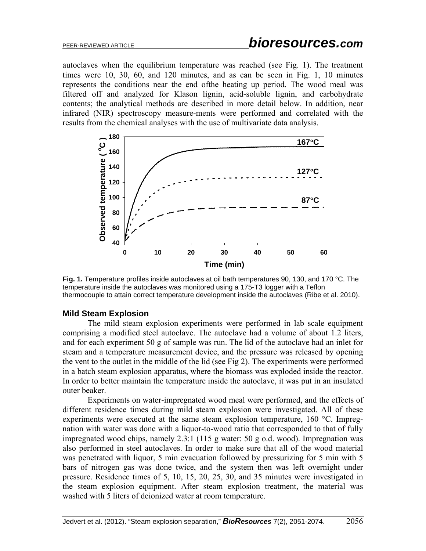autoclaves when the equilibrium temperature was reached (see Fig. 1). The treatment times were 10, 30, 60, and 120 minutes, and as can be seen in Fig. 1, 10 minutes represents the conditions near the end ofthe heating up period. The wood meal was filtered off and analyzed for Klason lignin, acid-soluble lignin, and carbohydrate contents; the analytical methods are described in more detail below. In addition, near infrared (NIR) spectroscopy measure-ments were performed and correlated with the results from the chemical analyses with the use of multivariate data analysis.



**Fig. 1.** Temperature profiles inside autoclaves at oil bath temperatures 90, 130, and 170 °C. The temperature inside the autoclaves was monitored using a 175-T3 logger with a Teflon thermocouple to attain correct temperature development inside the autoclaves (Ribe et al. 2010).

## **Mild Steam Explosion**

 The mild steam explosion experiments were performed in lab scale equipment comprising a modified steel autoclave. The autoclave had a volume of about 1.2 liters, and for each experiment 50 g of sample was run. The lid of the autoclave had an inlet for steam and a temperature measurement device, and the pressure was released by opening the vent to the outlet in the middle of the lid (see Fig 2). The experiments were performed in a batch steam explosion apparatus, where the biomass was exploded inside the reactor. In order to better maintain the temperature inside the autoclave, it was put in an insulated outer beaker.

Experiments on water-impregnated wood meal were performed, and the effects of different residence times during mild steam explosion were investigated. All of these experiments were executed at the same steam explosion temperature, 160 °C. Impregnation with water was done with a liquor-to-wood ratio that corresponded to that of fully impregnated wood chips, namely 2.3:1 (115 g water: 50 g o.d. wood). Impregnation was also performed in steel autoclaves. In order to make sure that all of the wood material was penetrated with liquor, 5 min evacuation followed by pressurizing for 5 min with 5 bars of nitrogen gas was done twice, and the system then was left overnight under pressure. Residence times of 5, 10, 15, 20, 25, 30, and 35 minutes were investigated in the steam explosion equipment. After steam explosion treatment, the material was washed with 5 liters of deionized water at room temperature.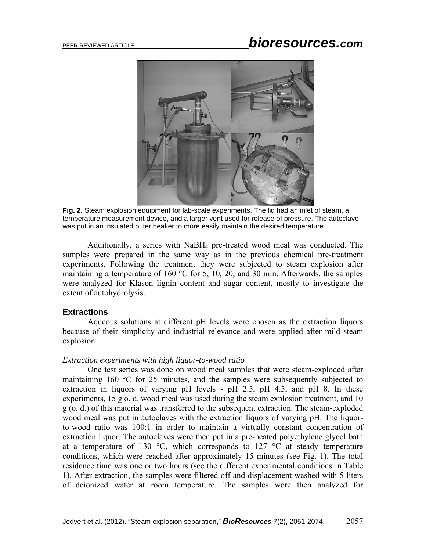

**Fig. 2.** Steam explosion equipment for lab-scale experiments. The lid had an inlet of steam, a temperature measurement device, and a larger vent used for release of pressure. The autoclave was put in an insulated outer beaker to more easily maintain the desired temperature.

Additionally, a series with NaBH4 pre-treated wood meal was conducted. The samples were prepared in the same way as in the previous chemical pre-treatment experiments. Following the treatment they were subjected to steam explosion after maintaining a temperature of 160 °C for 5, 10, 20, and 30 min. Afterwards, the samples were analyzed for Klason lignin content and sugar content, mostly to investigate the extent of autohydrolysis.

## **Extractions**

Aqueous solutions at different pH levels were chosen as the extraction liquors because of their simplicity and industrial relevance and were applied after mild steam explosion.

#### *Extraction experiments with high liquor-to-wood ratio*

 One test series was done on wood meal samples that were steam-exploded after maintaining 160 °C for 25 minutes, and the samples were subsequently subjected to extraction in liquors of varying pH levels - pH 2.5, pH 4.5, and pH 8. In these experiments, 15 g o. d. wood meal was used during the steam explosion treatment, and 10 g (o. d.) of this material was transferred to the subsequent extraction. The steam-exploded wood meal was put in autoclaves with the extraction liquors of varying pH. The liquorto-wood ratio was 100:1 in order to maintain a virtually constant concentration of extraction liquor. The autoclaves were then put in a pre-heated polyethylene glycol bath at a temperature of 130  $\degree$ C, which corresponds to 127  $\degree$ C at steady temperature conditions, which were reached after approximately 15 minutes (see Fig. 1). The total residence time was one or two hours (see the different experimental conditions in Table 1). After extraction, the samples were filtered off and displacement washed with 5 liters of deionized water at room temperature. The samples were then analyzed for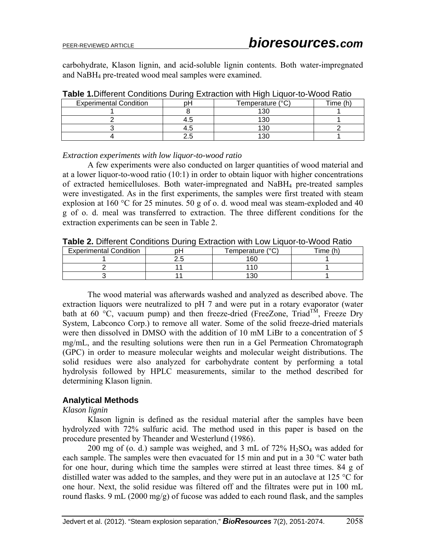carbohydrate, Klason lignin, and acid-soluble lignin contents. Both water-impregnated and NaBH4 pre-treated wood meal samples were examined.

| <b>Experimental Condition</b> |      | Temperature (°C) | Time (h) |
|-------------------------------|------|------------------|----------|
|                               |      | 130              |          |
|                               | r. O | 130              |          |
|                               | ۲.5  | 130              |          |
|                               |      | 13C              |          |

**Table 1.**Different Conditions During Extraction with High Liquor-to-Wood Ratio

#### *Extraction experiments with low liquor-to-wood ratio*

 A few experiments were also conducted on larger quantities of wood material and at a lower liquor-to-wood ratio (10:1) in order to obtain liquor with higher concentrations of extracted hemicelluloses. Both water-impregnated and NaBH4 pre-treated samples were investigated. As in the first experiments, the samples were first treated with steam explosion at 160 °C for 25 minutes. 50 g of o. d. wood meal was steam-exploded and 40 g of o. d. meal was transferred to extraction. The three different conditions for the extraction experiments can be seen in Table 2.

| <b>Experimental Condition</b> | רס       | Temperature (°C) | ™e |
|-------------------------------|----------|------------------|----|
|                               | <u> </u> | 160              |    |
|                               |          |                  |    |
|                               |          |                  |    |

**Table 2.** Different Conditions During Extraction with Low Liquor-to-Wood Ratio

The wood material was afterwards washed and analyzed as described above. The extraction liquors were neutralized to pH 7 and were put in a rotary evaporator (water bath at 60 °C, vacuum pump) and then freeze-dried (FreeZone, Triad<sup>TM</sup>, Freeze Dry System, Labconco Corp.) to remove all water. Some of the solid freeze-dried materials were then dissolved in DMSO with the addition of 10 mM LiBr to a concentration of 5 mg/mL, and the resulting solutions were then run in a Gel Permeation Chromatograph (GPC) in order to measure molecular weights and molecular weight distributions. The solid residues were also analyzed for carbohydrate content by performing a total hydrolysis followed by HPLC measurements, similar to the method described for determining Klason lignin.

## **Analytical Methods**

## *Klason lignin*

 Klason lignin is defined as the residual material after the samples have been hydrolyzed with 72% sulfuric acid. The method used in this paper is based on the procedure presented by Theander and Westerlund (1986).

200 mg of (o. d.) sample was weighed, and 3 mL of  $72\%$  H<sub>2</sub>SO<sub>4</sub> was added for each sample. The samples were then evacuated for 15 min and put in a 30 °C water bath for one hour, during which time the samples were stirred at least three times. 84 g of distilled water was added to the samples, and they were put in an autoclave at 125 °C for one hour. Next, the solid residue was filtered off and the filtrates were put in 100 mL round flasks. 9 mL (2000 mg/g) of fucose was added to each round flask, and the samples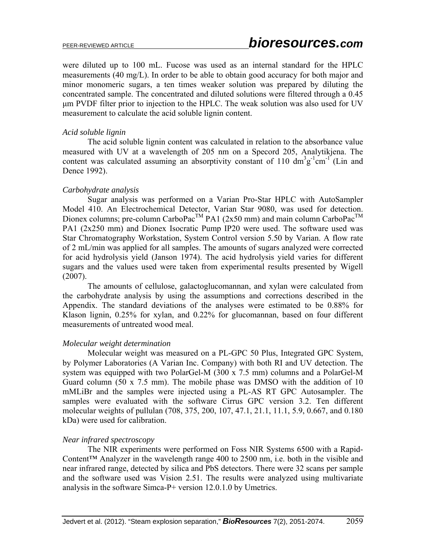were diluted up to 100 mL. Fucose was used as an internal standard for the HPLC measurements (40 mg/L). In order to be able to obtain good accuracy for both major and minor monomeric sugars, a ten times weaker solution was prepared by diluting the concentrated sample. The concentrated and diluted solutions were filtered through a 0.45 μm PVDF filter prior to injection to the HPLC. The weak solution was also used for UV measurement to calculate the acid soluble lignin content.

## *Acid soluble lignin*

 The acid soluble lignin content was calculated in relation to the absorbance value measured with UV at a wavelength of 205 nm on a Specord 205, Analytikjena. The content was calculated assuming an absorptivity constant of 110  $\text{dm}^3\text{g}^{-1}\text{cm}^{-1}$  (Lin and Dence 1992).

## *Carbohydrate analysis*

 Sugar analysis was performed on a Varian Pro-Star HPLC with AutoSampler Model 410. An Electrochemical Detector, Varian Star 9080, was used for detection. Dionex columns; pre-column CarboPac<sup>TM</sup> PA1 (2x50 mm) and main column CarboPac<sup>TM</sup> PA1 (2x250 mm) and Dionex Isocratic Pump IP20 were used. The software used was Star Chromatography Workstation, System Control version 5.50 by Varian. A flow rate of 2 mL/min was applied for all samples. The amounts of sugars analyzed were corrected for acid hydrolysis yield (Janson 1974). The acid hydrolysis yield varies for different sugars and the values used were taken from experimental results presented by Wigell (2007).

The amounts of cellulose, galactoglucomannan, and xylan were calculated from the carbohydrate analysis by using the assumptions and corrections described in the Appendix. The standard deviations of the analyses were estimated to be 0.88% for Klason lignin, 0.25% for xylan, and 0.22% for glucomannan, based on four different measurements of untreated wood meal.

## *Molecular weight determination*

 Molecular weight was measured on a PL-GPC 50 Plus, Integrated GPC System, by Polymer Laboratories (A Varian Inc. Company) with both RI and UV detection. The system was equipped with two PolarGel-M (300 x 7.5 mm) columns and a PolarGel-M Guard column (50 x 7.5 mm). The mobile phase was DMSO with the addition of 10 mMLiBr and the samples were injected using a PL-AS RT GPC Autosampler. The samples were evaluated with the software Cirrus GPC version 3.2. Ten different molecular weights of pullulan (708, 375, 200, 107, 47.1, 21.1, 11.1, 5.9, 0.667, and 0.180 kDa) were used for calibration.

## *Near infrared spectroscopy*

 The NIR experiments were performed on Foss NIR Systems 6500 with a Rapid-Content<sup>™</sup> Analyzer in the wavelength range 400 to 2500 nm, i.e. both in the visible and near infrared range, detected by silica and PbS detectors. There were 32 scans per sample and the software used was Vision 2.51. The results were analyzed using multivariate analysis in the software Simca-P+ version 12.0.1.0 by Umetrics.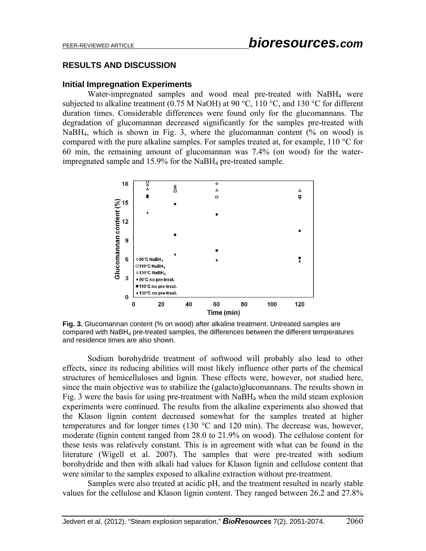## **RESULTS AND DISCUSSION**

## **Initial Impregnation Experiments**

 Water-impregnated samples and wood meal pre-treated with NaBH4 were subjected to alkaline treatment (0.75 M NaOH) at 90 °C, 110 °C, and 130 °C for different duration times. Considerable differences were found only for the glucomannans. The degradation of glucomannan decreased significantly for the samples pre-treated with NaBH<sub>4</sub>, which is shown in Fig. 3, where the glucomannan content  $(% \text{ on wood})$  is compared with the pure alkaline samples. For samples treated at, for example, 110 °C for 60 min, the remaining amount of glucomannan was 7.4% (on wood) for the waterimpregnated sample and 15.9% for the NaBH4 pre-treated sample.



**Fig. 3.** Glucomannan content (% on wood) after alkaline treatment. Untreated samples are compared with  $N$ aBH<sub>4</sub> pre-treated samples, the differences between the different temperatures and residence times are also shown.

Sodium borohydride treatment of softwood will probably also lead to other effects, since its reducing abilities will most likely influence other parts of the chemical structures of hemicelluloses and lignin. These effects were, however, not studied here, since the main objective was to stabilize the (galacto)glucomannans. The results shown in Fig. 3 were the basis for using pre-treatment with NaBH4 when the mild steam explosion experiments were continued. The results from the alkaline experiments also showed that the Klason lignin content decreased somewhat for the samples treated at higher temperatures and for longer times (130 °C and 120 min). The decrease was, however, moderate (lignin content ranged from 28.0 to 21.9% on wood). The cellulose content for these tests was relatively constant. This is in agreement with what can be found in the literature (Wigell et al. 2007). The samples that were pre-treated with sodium borohydride and then with alkali had values for Klason lignin and cellulose content that were similar to the samples exposed to alkaline extraction without pre-treatment.

Samples were also treated at acidic pH, and the treatment resulted in nearly stable values for the cellulose and Klason lignin content. They ranged between 26.2 and 27.8%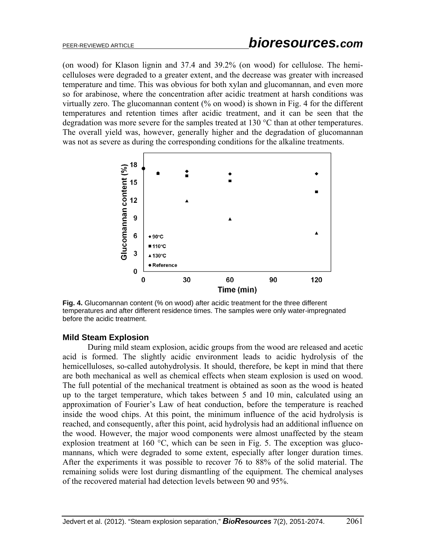(on wood) for Klason lignin and 37.4 and 39.2% (on wood) for cellulose. The hemicelluloses were degraded to a greater extent, and the decrease was greater with increased temperature and time. This was obvious for both xylan and glucomannan, and even more so for arabinose, where the concentration after acidic treatment at harsh conditions was virtually zero. The glucomannan content (% on wood) is shown in Fig. 4 for the different temperatures and retention times after acidic treatment, and it can be seen that the degradation was more severe for the samples treated at 130 °C than at other temperatures. The overall yield was, however, generally higher and the degradation of glucomannan was not as severe as during the corresponding conditions for the alkaline treatments.



**Fig. 4.** Glucomannan content (% on wood) after acidic treatment for the three different temperatures and after different residence times. The samples were only water-impregnated before the acidic treatment.

## **Mild Steam Explosion**

 During mild steam explosion, acidic groups from the wood are released and acetic acid is formed. The slightly acidic environment leads to acidic hydrolysis of the hemicelluloses, so-called autohydrolysis. It should, therefore, be kept in mind that there are both mechanical as well as chemical effects when steam explosion is used on wood. The full potential of the mechanical treatment is obtained as soon as the wood is heated up to the target temperature, which takes between 5 and 10 min, calculated using an approximation of Fourier's Law of heat conduction, before the temperature is reached inside the wood chips. At this point, the minimum influence of the acid hydrolysis is reached, and consequently, after this point, acid hydrolysis had an additional influence on the wood. However, the major wood components were almost unaffected by the steam explosion treatment at 160 °C, which can be seen in Fig. 5. The exception was glucomannans, which were degraded to some extent, especially after longer duration times. After the experiments it was possible to recover 76 to 88% of the solid material. The remaining solids were lost during dismantling of the equipment. The chemical analyses of the recovered material had detection levels between 90 and 95%.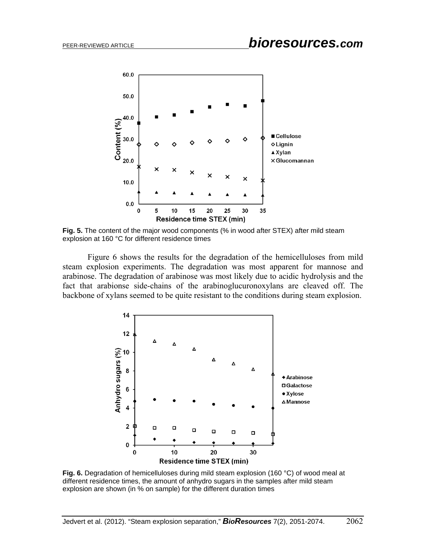

**Fig. 5.** The content of the major wood components (% in wood after STEX) after mild steam explosion at 160 °C for different residence times

 Figure 6 shows the results for the degradation of the hemicelluloses from mild steam explosion experiments. The degradation was most apparent for mannose and arabinose. The degradation of arabinose was most likely due to acidic hydrolysis and the fact that arabionse side-chains of the arabinoglucuronoxylans are cleaved off. The backbone of xylans seemed to be quite resistant to the conditions during steam explosion.



**Fig. 6.** Degradation of hemicelluloses during mild steam explosion (160 °C) of wood meal at different residence times, the amount of anhydro sugars in the samples after mild steam explosion are shown (in % on sample) for the different duration times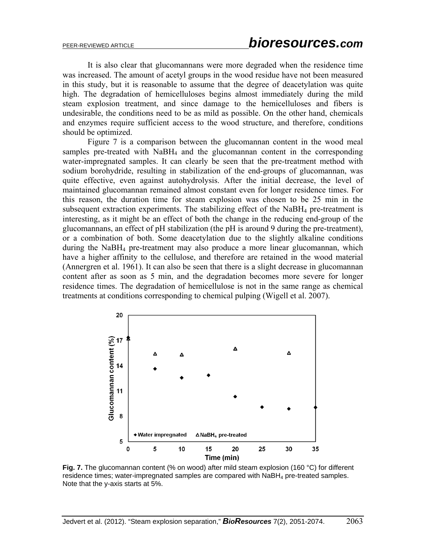It is also clear that glucomannans were more degraded when the residence time was increased. The amount of acetyl groups in the wood residue have not been measured in this study, but it is reasonable to assume that the degree of deacetylation was quite high. The degradation of hemicelluloses begins almost immediately during the mild steam explosion treatment, and since damage to the hemicelluloses and fibers is undesirable, the conditions need to be as mild as possible. On the other hand, chemicals and enzymes require sufficient access to the wood structure, and therefore, conditions should be optimized.

Figure 7 is a comparison between the glucomannan content in the wood meal samples pre-treated with NaBH<sub>4</sub> and the glucomannan content in the corresponding water-impregnated samples. It can clearly be seen that the pre-treatment method with sodium borohydride, resulting in stabilization of the end-groups of glucomannan, was quite effective, even against autohydrolysis. After the initial decrease, the level of maintained glucomannan remained almost constant even for longer residence times. For this reason, the duration time for steam explosion was chosen to be 25 min in the subsequent extraction experiments. The stabilizing effect of the NaBH4 pre-treatment is interesting, as it might be an effect of both the change in the reducing end-group of the glucomannans, an effect of pH stabilization (the pH is around 9 during the pre-treatment), or a combination of both. Some deacetylation due to the slightly alkaline conditions during the NaBH4 pre-treatment may also produce a more linear glucomannan, which have a higher affinity to the cellulose, and therefore are retained in the wood material (Annergren et al. 1961). It can also be seen that there is a slight decrease in glucomannan content after as soon as 5 min, and the degradation becomes more severe for longer residence times. The degradation of hemicellulose is not in the same range as chemical treatments at conditions corresponding to chemical pulping (Wigell et al. 2007).



Fig. 7. The glucomannan content (% on wood) after mild steam explosion (160 °C) for different residence times; water-impregnated samples are compared with  $N$ aBH $_4$  pre-treated samples. Note that the y-axis starts at 5%.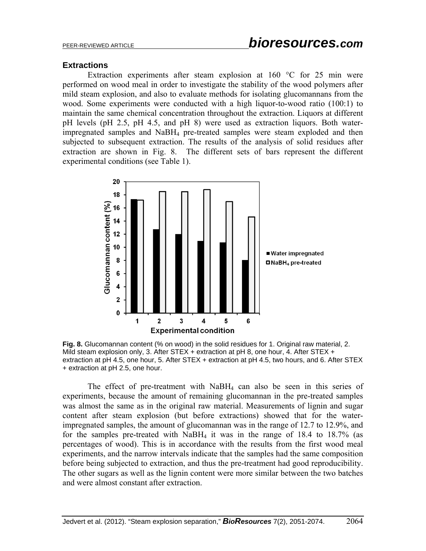## **Extractions**

Extraction experiments after steam explosion at 160 °C for 25 min were performed on wood meal in order to investigate the stability of the wood polymers after mild steam explosion, and also to evaluate methods for isolating glucomannans from the wood. Some experiments were conducted with a high liquor-to-wood ratio (100:1) to maintain the same chemical concentration throughout the extraction. Liquors at different pH levels (pH 2.5, pH 4.5, and pH 8) were used as extraction liquors. Both waterimpregnated samples and NaBH4 pre-treated samples were steam exploded and then subjected to subsequent extraction. The results of the analysis of solid residues after extraction are shown in Fig. 8. The different sets of bars represent the different experimental conditions (see Table 1).



**Fig. 8.** Glucomannan content (% on wood) in the solid residues for 1. Original raw material, 2. Mild steam explosion only, 3. After STEX + extraction at pH 8, one hour, 4. After STEX + extraction at pH 4.5, one hour, 5. After STEX + extraction at pH 4.5, two hours, and 6. After STEX + extraction at pH 2.5, one hour.

The effect of pre-treatment with  $NaBH<sub>4</sub>$  can also be seen in this series of experiments, because the amount of remaining glucomannan in the pre-treated samples was almost the same as in the original raw material. Measurements of lignin and sugar content after steam explosion (but before extractions) showed that for the waterimpregnated samples, the amount of glucomannan was in the range of 12.7 to 12.9%, and for the samples pre-treated with  $NabH_4$  it was in the range of 18.4 to 18.7% (as percentages of wood). This is in accordance with the results from the first wood meal experiments, and the narrow intervals indicate that the samples had the same composition before being subjected to extraction, and thus the pre-treatment had good reproducibility. The other sugars as well as the lignin content were more similar between the two batches and were almost constant after extraction.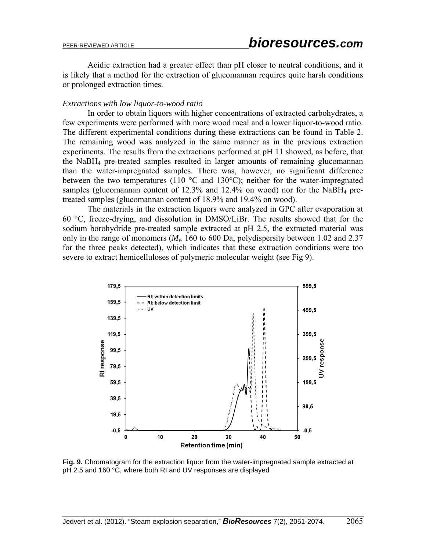Acidic extraction had a greater effect than pH closer to neutral conditions, and it is likely that a method for the extraction of glucomannan requires quite harsh conditions or prolonged extraction times.

#### *Extractions with low liquor-to-wood ratio*

 In order to obtain liquors with higher concentrations of extracted carbohydrates, a few experiments were performed with more wood meal and a lower liquor-to-wood ratio. The different experimental conditions during these extractions can be found in Table 2. The remaining wood was analyzed in the same manner as in the previous extraction experiments. The results from the extractions performed at pH 11 showed, as before, that the NaBH4 pre-treated samples resulted in larger amounts of remaining glucomannan than the water-impregnated samples. There was, however, no significant difference between the two temperatures (110  $\degree$ C and 130 $\degree$ C); neither for the water-impregnated samples (glucomannan content of  $12.3\%$  and  $12.4\%$  on wood) nor for the NaBH<sub>4</sub> pretreated samples (glucomannan content of 18.9% and 19.4% on wood).

The materials in the extraction liquors were analyzed in GPC after evaporation at 60 °C, freeze-drying, and dissolution in DMSO/LiBr. The results showed that for the sodium borohydride pre-treated sample extracted at pH 2.5, the extracted material was only in the range of monomers  $(M_w 160$  to 600 Da, polydispersity between 1.02 and 2.37 for the three peaks detected), which indicates that these extraction conditions were too severe to extract hemicelluloses of polymeric molecular weight (see Fig 9).



**Fig. 9.** Chromatogram for the extraction liquor from the water-impregnated sample extracted at pH 2.5 and 160 °C, where both RI and UV responses are displayed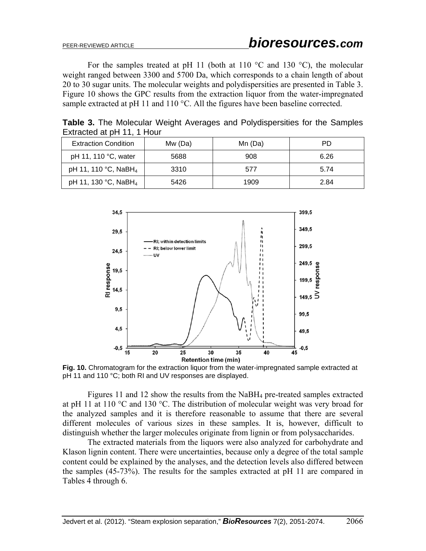For the samples treated at pH 11 (both at 110  $\degree$ C and 130  $\degree$ C), the molecular weight ranged between 3300 and 5700 Da, which corresponds to a chain length of about 20 to 30 sugar units. The molecular weights and polydispersities are presented in Table 3. Figure 10 shows the GPC results from the extraction liquor from the water-impregnated sample extracted at pH 11 and 110 °C. All the figures have been baseline corrected.

| $x$ u acteu at p $\Box$ $\Box$ , $\Box$ $\Box$ |         |         |      |  |
|------------------------------------------------|---------|---------|------|--|
| <b>Extraction Condition</b>                    | Mw (Da) | Mn (Da) | PD   |  |
| pH 11, 110 °C, water                           | 5688    | 908     | 6.26 |  |
| pH 11, 110 °C, NaBH <sub>4</sub>               | 3310    | 577     | 5.74 |  |
| pH 11, 130 °C, NaBH <sub>4</sub>               | 5426    | 1909    | 2.84 |  |

**Table 3.** The Molecular Weight Averages and Polydispersities for the Samples Extracted at pH 11, 1 Hour



**Fig. 10.** Chromatogram for the extraction liquor from the water-impregnated sample extracted at pH 11 and 110 °C; both RI and UV responses are displayed.

Figures 11 and 12 show the results from the NaBH4 pre-treated samples extracted at pH 11 at 110  $\degree$ C and 130  $\degree$ C. The distribution of molecular weight was very broad for the analyzed samples and it is therefore reasonable to assume that there are several different molecules of various sizes in these samples. It is, however, difficult to distinguish whether the larger molecules originate from lignin or from polysaccharides.

The extracted materials from the liquors were also analyzed for carbohydrate and Klason lignin content. There were uncertainties, because only a degree of the total sample content could be explained by the analyses, and the detection levels also differed between the samples (45-73%). The results for the samples extracted at pH 11 are compared in Tables 4 through 6.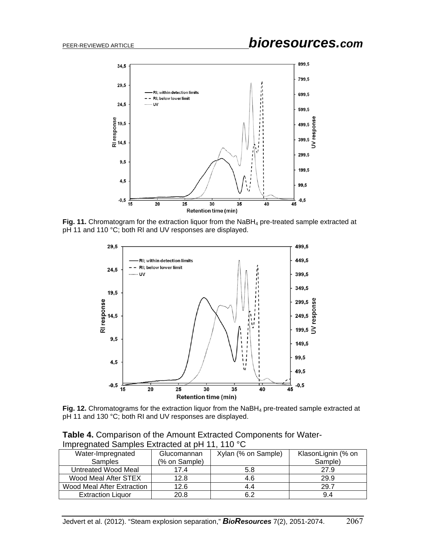

Fig. 11. Chromatogram for the extraction liquor from the NaBH<sub>4</sub> pre-treated sample extracted at pH 11 and 110 °C; both RI and UV responses are displayed.



Fig. 12. Chromatograms for the extraction liquor from the NaBH<sub>4</sub> pre-treated sample extracted at pH 11 and 130 °C; both RI and UV responses are displayed.

**Table 4.** Comparison of the Amount Extracted Components for Water-Impregnated Samples Extracted at pH 11, 110 °C

| Water-Impregnated          | Glucomannan   | Xylan (% on Sample) | KlasonLignin (% on |
|----------------------------|---------------|---------------------|--------------------|
| <b>Samples</b>             | (% on Sample) |                     | Sample)            |
| Untreated Wood Meal        | 17.4          | 5.8                 | 27.9               |
| Wood Meal After STEX       | 12.8          | 4.6                 | 29.9               |
| Wood Meal After Extraction | 12.6          | 4.4                 | 29.7               |
| <b>Extraction Liquor</b>   | 20.8          | 6.2                 | 9.4                |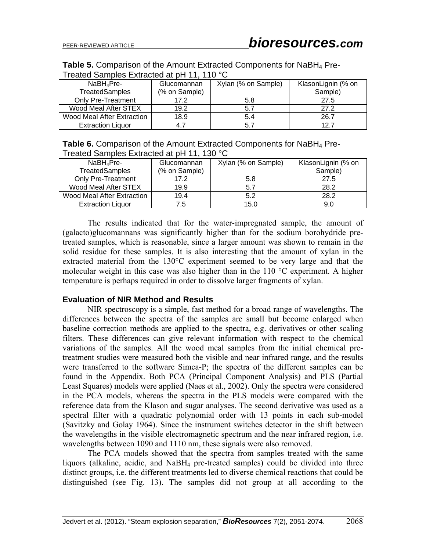| <b>Table 5.</b> Comparison of the Amount Extracted Components for NaBH <sub>4</sub> Pre- |
|------------------------------------------------------------------------------------------|
| Treated Samples Extracted at pH 11, 110 °C                                               |

| NaBH <sub>4</sub> Pre-     | Glucomannan   | Xylan (% on Sample) | KlasonLignin (% on |  |
|----------------------------|---------------|---------------------|--------------------|--|
| <b>TreatedSamples</b>      | (% on Sample) |                     | Sample)            |  |
| <b>Only Pre-Treatment</b>  | 17.2          | 5.8                 | 27.5               |  |
| Wood Meal After STEX       | 19.2          | 5.7                 | 27.2               |  |
| Wood Meal After Extraction | 18.9          | 5.4                 | 26.7               |  |
| <b>Extraction Liquor</b>   | 47            | 5.7                 | 12.7               |  |

| <b>Table 6.</b> Comparison of the Amount Extracted Components for NaBH <sub>4</sub> Pre- |  |
|------------------------------------------------------------------------------------------|--|
| Treated Samples Extracted at pH 11, 130 °C                                               |  |

| $NaBH_4$ Pre-              | Glucomannan   | Xylan (% on Sample) | KlasonLignin (% on |  |
|----------------------------|---------------|---------------------|--------------------|--|
| <b>TreatedSamples</b>      | (% on Sample) |                     | Sample)            |  |
| Only Pre-Treatment         | 17.2          | 5.8                 | 27.5               |  |
| Wood Meal After STEX       | 19.9          | 5.7                 | 28.2               |  |
| Wood Meal After Extraction | 19.4          | 5.2                 | 28.2               |  |
| <b>Extraction Liquor</b>   | 7.5           | 15.0                | 9.0                |  |

The results indicated that for the water-impregnated sample, the amount of (galacto)glucomannans was significantly higher than for the sodium borohydride pretreated samples, which is reasonable, since a larger amount was shown to remain in the solid residue for these samples. It is also interesting that the amount of xylan in the extracted material from the 130°C experiment seemed to be very large and that the molecular weight in this case was also higher than in the 110 °C experiment. A higher temperature is perhaps required in order to dissolve larger fragments of xylan.

## **Evaluation of NIR Method and Results**

 NIR spectroscopy is a simple, fast method for a broad range of wavelengths. The differences between the spectra of the samples are small but become enlarged when baseline correction methods are applied to the spectra, e.g. derivatives or other scaling filters. These differences can give relevant information with respect to the chemical variations of the samples. All the wood meal samples from the initial chemical pretreatment studies were measured both the visible and near infrared range, and the results were transferred to the software Simca-P; the spectra of the different samples can be found in the Appendix. Both PCA (Principal Component Analysis) and PLS (Partial Least Squares) models were applied (Naes et al., 2002). Only the spectra were considered in the PCA models, whereas the spectra in the PLS models were compared with the reference data from the Klason and sugar analyses. The second derivative was used as a spectral filter with a quadratic polynomial order with 13 points in each sub-model (Savitzky and Golay 1964). Since the instrument switches detector in the shift between the wavelengths in the visible electromagnetic spectrum and the near infrared region, i.e. wavelengths between 1090 and 1110 nm, these signals were also removed.

The PCA models showed that the spectra from samples treated with the same liquors (alkaline, acidic, and NaBH4 pre-treated samples) could be divided into three distinct groups, i.e. the different treatments led to diverse chemical reactions that could be distinguished (see Fig. 13). The samples did not group at all according to the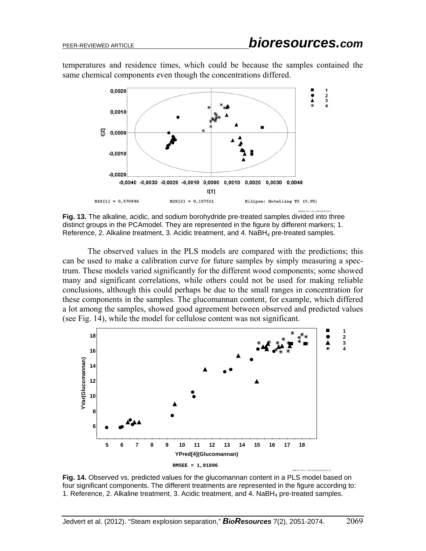temperatures and residence times, which could be because the samples contained the same chemical components even though the concentrations differed.



**Fig. 13.** The alkaline, acidic, and sodium borohydride pre-treated samples divided into three distinct groups in the PCAmodel. They are represented in the figure by different markers; 1. Reference, 2. Alkaline treatment, 3. Acidic treatment, and  $4$ . NaBH<sub>4</sub> pre-treated samples.

The observed values in the PLS models are compared with the predictions; this can be used to make a calibration curve for future samples by simply measuring a spectrum. These models varied significantly for the different wood components; some showed many and significant correlations, while others could not be used for making reliable conclusions, although this could perhaps be due to the small ranges in concentration for these components in the samples. The glucomannan content, for example, which differed a lot among the samples, showed good agreement between observed and predicted values (see Fig. 14), while the model for cellulose content was not significant.



**Fig. 14.** Observed vs. predicted values for the glucomannan content in a PLS model based on four significant components. The different treatments are represented in the figure according to: 1. Reference, 2. Alkaline treatment, 3. Acidic treatment, and 4. NaBH4 pre-treated samples.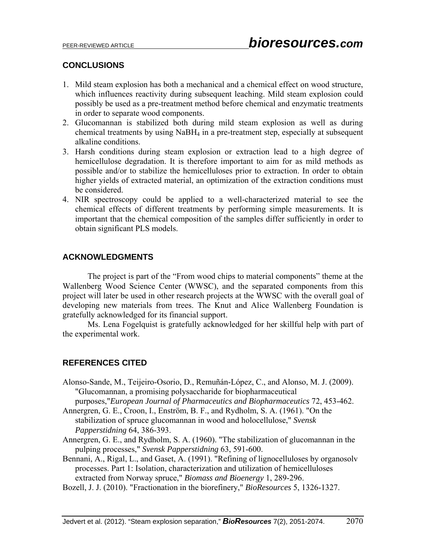## **CONCLUSIONS**

- 1. Mild steam explosion has both a mechanical and a chemical effect on wood structure, which influences reactivity during subsequent leaching. Mild steam explosion could possibly be used as a pre-treatment method before chemical and enzymatic treatments in order to separate wood components.
- 2. Glucomannan is stabilized both during mild steam explosion as well as during chemical treatments by using NaBH4 in a pre-treatment step, especially at subsequent alkaline conditions.
- 3. Harsh conditions during steam explosion or extraction lead to a high degree of hemicellulose degradation. It is therefore important to aim for as mild methods as possible and/or to stabilize the hemicelluloses prior to extraction. In order to obtain higher yields of extracted material, an optimization of the extraction conditions must be considered.
- 4. NIR spectroscopy could be applied to a well-characterized material to see the chemical effects of different treatments by performing simple measurements. It is important that the chemical composition of the samples differ sufficiently in order to obtain significant PLS models.

## **ACKNOWLEDGMENTS**

 The project is part of the "From wood chips to material components" theme at the Wallenberg Wood Science Center (WWSC), and the separated components from this project will later be used in other research projects at the WWSC with the overall goal of developing new materials from trees. The Knut and Alice Wallenberg Foundation is gratefully acknowledged for its financial support.

 Ms. Lena Fogelquist is gratefully acknowledged for her skillful help with part of the experimental work.

## **REFERENCES CITED**

Alonso-Sande, M., Teijeiro-Osorio, D., Remuñán-López, C., and Alonso, M. J. (2009). "Glucomannan, a promising polysaccharide for biopharmaceutical

purposes,"*European Journal of Pharmaceutics and Biopharmaceutics* 72, 453-462.

- Annergren, G. E., Croon, I., Enström, B. F., and Rydholm, S. A. (1961). "On the stabilization of spruce glucomannan in wood and holocellulose," *Svensk Papperstidning* 64, 386-393.
- Annergren, G. E., and Rydholm, S. A. (1960). "The stabilization of glucomannan in the pulping processes," *Svensk Papperstidning* 63, 591-600.
- Bennani, A., Rigal, L., and Gaset, A. (1991). "Refining of lignocelluloses by organosolv processes. Part 1: Isolation, characterization and utilization of hemicelluloses extracted from Norway spruce," *Biomass and Bioenergy* 1, 289-296.
- Bozell, J. J. (2010). "Fractionation in the biorefinery," *BioResources* 5, 1326-1327.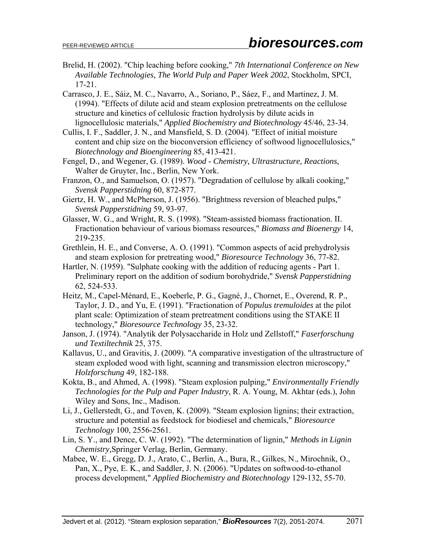- Brelid, H. (2002). "Chip leaching before cooking," *7th International Conference on New Available Technologies, The World Pulp and Paper Week 2002*, Stockholm, SPCI, 17-21.
- Carrasco, J. E., Sáiz, M. C., Navarro, A., Soriano, P., Sáez, F., and Martinez, J. M. (1994). "Effects of dilute acid and steam explosion pretreatments on the cellulose structure and kinetics of cellulosic fraction hydrolysis by dilute acids in lignocellulosic materials," *Applied Biochemistry and Biotechnology* 45/46, 23-34.
- Cullis, I. F., Saddler, J. N., and Mansfield, S. D. (2004). "Effect of initial moisture content and chip size on the bioconversion efficiency of softwood lignocellulosics," *Biotechnology and Bioengineering* 85, 413-421.
- Fengel, D., and Wegener, G. (1989). *Wood Chemistry, Ultrastructure, Reactions,* Walter de Gruyter, Inc., Berlin, New York.
- Franzon, O., and Samuelson, O. (1957). "Degradation of cellulose by alkali cooking," *Svensk Papperstidning* 60, 872-877.
- Giertz, H. W., and McPherson, J. (1956). "Brightness reversion of bleached pulps," *Svensk Papperstidning* 59, 93-97.
- Glasser, W. G., and Wright, R. S. (1998). "Steam-assisted biomass fractionation. II. Fractionation behaviour of various biomass resources," *Biomass and Bioenergy* 14, 219-235.
- Grethlein, H. E., and Converse, A. O. (1991). "Common aspects of acid prehydrolysis and steam explosion for pretreating wood," *Bioresource Technology* 36, 77-82.
- Hartler, N. (1959). "Sulphate cooking with the addition of reducing agents Part 1. Preliminary report on the addition of sodium borohydride," *Svensk Papperstidning*  62, 524-533.
- Heitz, M., Capel-Ménard, E., Koeberle, P. G., Gagné, J., Chornet, E., Overend, R. P., Taylor, J. D., and Yu, E. (1991). "Fractionation of *Populus tremuloides* at the pilot plant scale: Optimization of steam pretreatment conditions using the STAKE II technology," *Bioresource Technology* 35, 23-32.

Janson, J. (1974). "Analytik der Polysaccharide in Holz und Zellstoff," *Faserforschung und Textiltechnik* 25, 375.

- Kallavus, U., and Gravitis, J. (2009). "A comparative investigation of the ultrastructure of steam exploded wood with light, scanning and transmission electron microscopy," *Holzforschung* 49, 182-188.
- Kokta, B., and Ahmed, A. (1998). "Steam explosion pulping," *Environmentally Friendly Technologies for the Pulp and Paper Industry,* R. A. Young, M. Akhtar (eds.), John Wiley and Sons, Inc., Madison.
- Li, J., Gellerstedt, G., and Toven, K. (2009). "Steam explosion lignins; their extraction, structure and potential as feedstock for biodiesel and chemicals," *Bioresource Technology* 100, 2556-2561.
- Lin, S. Y., and Dence, C. W. (1992). "The determination of lignin," *Methods in Lignin Chemistry,*Springer Verlag, Berlin, Germany.
- Mabee, W. E., Gregg, D. J., Arato, C., Berlin, A., Bura, R., Gilkes, N., Mirochnik, O., Pan, X., Pye, E. K., and Saddler, J. N. (2006). "Updates on softwood-to-ethanol process development," *Applied Biochemistry and Biotechnology* 129-132, 55-70.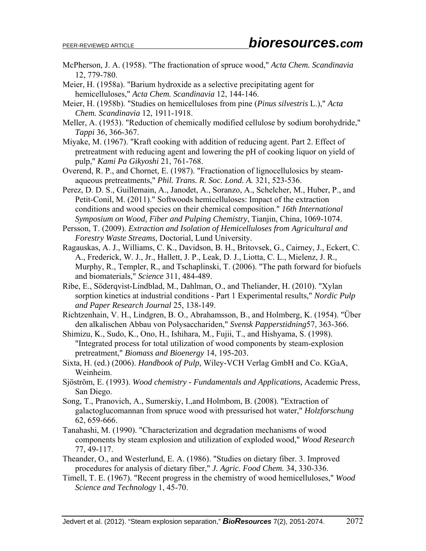- McPherson, J. A. (1958). "The fractionation of spruce wood," *Acta Chem. Scandinavia* 12, 779-780.
- Meier, H. (1958a). "Barium hydroxide as a selective precipitating agent for hemicelluloses," *Acta Chem. Scandinavia* 12, 144-146.
- Meier, H. (1958b). "Studies on hemicelluloses from pine (*Pinus silvestris* L.)," *Acta Chem. Scandinavia* 12, 1911-1918.
- Meller, A. (1953). "Reduction of chemically modified cellulose by sodium borohydride," *Tappi* 36, 366-367.
- Miyake, M. (1967). "Kraft cooking with addition of reducing agent. Part 2. Effect of pretreatment with reducing agent and lowering the pH of cooking liquor on yield of pulp," *Kami Pa Gikyoshi* 21, 761-768.
- Overend, R. P., and Chornet, E. (1987). "Fractionation of lignocellulosics by steamaqueous pretreatments," *Phil. Trans. R. Soc. Lond. A.* 321, 523-536.
- Perez, D. D. S., Guillemain, A., Janodet, A., Soranzo, A., Schelcher, M., Huber, P., and Petit-Conil, M. (2011)." Softwoods hemicelluloses: Impact of the extraction conditions and wood species on their chemical composition." *16th International Symposium on Wood, Fiber and Pulping Chemistry*, Tianjin, China, 1069-1074.
- Persson, T. (2009). *Extraction and Isolation of Hemicelluloses from Agricultural and Forestry Waste Streams,* Doctorial, Lund University.
- Ragauskas, A. J., Williams, C. K., Davidson, B. H., Britovsek, G., Cairney, J., Eckert, C. A., Frederick, W. J., Jr., Hallett, J. P., Leak, D. J., Liotta, C. L., Mielenz, J. R., Murphy, R., Templer, R., and Tschaplinski, T. (2006). "The path forward for biofuels and biomaterials," *Science* 311, 484-489.
- Ribe, E., Söderqvist-Lindblad, M., Dahlman, O., and Theliander, H. (2010). "Xylan sorption kinetics at industrial conditions - Part 1 Experimental results," *Nordic Pulp and Paper Research Journal* 25, 138-149.
- Richtzenhain, V. H., Lindgren, B. O., Abrahamsson, B., and Holmberg, K. (1954). "Über den alkalischen Abbau von Polysacchariden," *Svensk Papperstidning*57, 363-366.
- Shimizu, K., Sudo, K., Ono, H., Ishihara, M., Fujii, T., and Hishyama, S. (1998). "Integrated process for total utilization of wood components by steam-explosion pretreatment," *Biomass and Bioenergy* 14, 195-203.
- Sixta, H. (ed.) (2006). *Handbook of Pulp,* Wiley-VCH Verlag GmbH and Co. KGaA, Weinheim.
- Sjöström, E. (1993). *Wood chemistry Fundamentals and Applications,* Academic Press, San Diego.
- Song, T., Pranovich, A., Sumerskiy, I.,and Holmbom, B. (2008). "Extraction of galactoglucomannan from spruce wood with pressurised hot water," *Holzforschung* 62, 659-666.
- Tanahashi, M. (1990). "Characterization and degradation mechanisms of wood components by steam explosion and utilization of exploded wood," *Wood Research* 77, 49-117.
- Theander, O., and Westerlund, E. A. (1986). "Studies on dietary fiber. 3. Improved procedures for analysis of dietary fiber," *J. Agric. Food Chem.* 34, 330-336.
- Timell, T. E. (1967). "Recent progress in the chemistry of wood hemicelluloses," *Wood Science and Technology* 1, 45-70.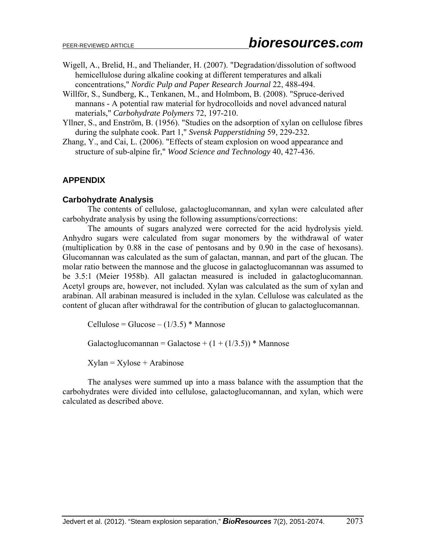- Wigell, A., Brelid, H., and Theliander, H. (2007). "Degradation/dissolution of softwood hemicellulose during alkaline cooking at different temperatures and alkali concentrations," *Nordic Pulp and Paper Research Journal* 22, 488-494.
- Willför, S., Sundberg, K., Tenkanen, M., and Holmbom, B. (2008). "Spruce-derived mannans - A potential raw material for hydrocolloids and novel advanced natural materials," *Carbohydrate Polymers* 72, 197-210.
- Yllner, S., and Enström, B. (1956). "Studies on the adsorption of xylan on cellulose fibres during the sulphate cook. Part 1," *Svensk Papperstidning* 59, 229-232.
- Zhang, Y., and Cai, L. (2006). "Effects of steam explosion on wood appearance and structure of sub-alpine fir," *Wood Science and Technology* 40, 427-436.

## **APPENDIX**

## **Carbohydrate Analysis**

The contents of cellulose, galactoglucomannan, and xylan were calculated after carbohydrate analysis by using the following assumptions/corrections:

The amounts of sugars analyzed were corrected for the acid hydrolysis yield. Anhydro sugars were calculated from sugar monomers by the withdrawal of water (multiplication by 0.88 in the case of pentosans and by 0.90 in the case of hexosans). Glucomannan was calculated as the sum of galactan, mannan, and part of the glucan. The molar ratio between the mannose and the glucose in galactoglucomannan was assumed to be 3.5:1 (Meier 1958b). All galactan measured is included in galactoglucomannan. Acetyl groups are, however, not included. Xylan was calculated as the sum of xylan and arabinan. All arabinan measured is included in the xylan. Cellulose was calculated as the content of glucan after withdrawal for the contribution of glucan to galactoglucomannan.

Cellulose = Glucose –  $(1/3.5)$  \* Mannose

Galactoglucomannan = Galactose +  $(1 + (1/3.5))$  \* Mannose

 $X$ ylan =  $X$ ylose + Arabinose

The analyses were summed up into a mass balance with the assumption that the carbohydrates were divided into cellulose, galactoglucomannan, and xylan, which were calculated as described above.